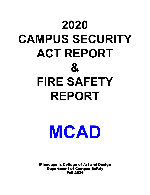## **2020 CAMPUS SECURITY ACT REPORT & FIRE SAFETY REPORT**

**MCAD**

Minneapolis College of Art and Design Department of Campus Safety Fall 2021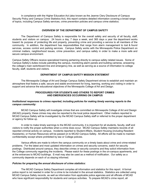In compliance with the Higher Education Act (also known as the Jeanne Clery Disclosure of Campus Security Policy and Campus Crime Statistics Act), this report contains detailed information covering a broad range of topics, including Campus Safety services, crime prevention policies and campus crime statistics.

#### **OVERVIEW OF THE DEPARTMENT OF CAMPUS SAFETY**

The Department of Campus Safety is responsible for the overall safety and security of all faculty, staff, students and visitors on campus. 24 hours a day, 7 days a week, and 365 days a year the department works toward its purpose of protecting life and property, preventing crime and providing a service to all members of the community. In addition, the department has responsibilities that range from alarm management to lost & found services, access control and parking services. Campus Safety works with the Minneapolis Police Department on criminal matters, neighborhood issues, crime prevention, and campus safety in order to make a more safe and secure campus environment.

Campus Safety Officers receive specialized training pertaining directly to campus safety related issues. Some of Campus Safety's duties include patrolling the campus, monitoring alarm panels and building cameras, answering the college's main switchboard line and emergency line, as well as serving as a source of information to college faculty, staff, students and visitors.

#### **DEPARTMENT OF CAMPUS SAFETY MISSION STATEMENT**

The Minneapolis College of Art and Design Campus Safety Department strives to establish and maintain an atmosphere that fosters a safe, secure and stable environment for living, learning, working and visiting in order to support and advance the educational objectives of the Minneapolis College of Art and Design.

#### **PROCEDURES FOR STUDENTS AND OTHERS TO REPORT CRIMES AND EMERGENCIES OCCURRING ON CAMPUS**

#### *Institutional responses to crimes reported, including policies for making timely warning reports to the campus community:*

MCAD Campus Safety will investigate crimes that are committed on Minneapolis College of Art and Design (MCAD) property; these crimes may also be reported to the local police department. Other matters reported to MCAD Campus Safety will be investigated by the MCAD Campus Safety staff or referred to the proper department or agency for follow up.

In order to make timely warnings to the MCAD community, it is important for all students, faculty, staff and visitors to notify the proper authorities when a crime does occur. MCAD Campus Safety maintains records of all reported criminal activity on campus. Incidents reported to Student Affairs, Student Housing (including Resident Assistants), or Human Resources will be passed on to MCAD Campus Safety. All efforts will be made to maintain confidentiality except where prohibited by law or College policies.

Various efforts are made to inform the campus community on a timely basis about crime and crime-related problems. For the latest and most updated information on crimes and security concerns, watch for security postings. Distributed around campus, they describe crimes or security concerns and they solicit information from the College community regarding the incidents. Please watch for these postings in the on-campus apartments, and at the entrances to MCAD buildings. E-mail may also be used as a method of notification. Our safety as a community depends on each of us staying informed.

#### *Policies for preparing the annual disclosure of crime statistics:*

The MCAD Campus Safety Department compiles all information and statistics for this report. A formal police report is not needed in order for a crime to be included in the annual statistics. Statistics are collected using MCAD Campus Safety records, as well as information from applicable police agencies and all officials of MCAD who have significant responsibility for students and campus activities. To prepare MCAD's crime report, all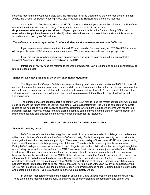incidents reported to the Campus Safety staff, the Minneapolis Police Department, the Vice President of Student Affairs, the Director of Student Housing, CFO, Vice President and Treasurerand others are recorded.

On October 1<sup>st</sup> of each year, all current MCAD students and employees are notified of the availability of the report and the location to request a copy. This report is made available via the website **(http://www.mcad.edu/campussecurityact)**. Paper copies are available in the Campus Safety Office. All reasonable attempts have been made to identify all reported crimes and to present the statistics in this report in accordance with the Higher Education Act.

#### *Titles of each person or organization to whom students and employees should report offenses:*

If you experience or witness a crime, first call 911 and then dial Campus Safety at 612-874-3555 from any off campus phone or x1555 from any on campus phone. We encourage accurate and prompt reporting.

If you are unsure whether a situation is an emergency and you live in on-campus housing, contact a Resident Assistant or Campus Safety immediately or call 911.

Infractions of MCAD rules are referred to the Dean of Students. Law breaking and criminal conduct may be referred to local police.

#### *Statement disclosing the use of voluntary confidential reporting:*

The Department of Campus Safety encourages all faculty, staff, students and visitors of MCAD to report all crimes. If you are the victim or witness of a crime and do not want to pursue action within the College system or the criminal justice system, you may still want to consider making a confidential report. At the request of the reporting victim or witness, Campus Safety will make every effort to maintain confidentiality with respect to the law and College policies.

The purpose of a confidential report is to comply with your wish to keep the matter confidential, while taking steps to ensure the future safety of yourself and others. With such information, the College can keep an accurate record of the number of incidents involving students, determine where there is a pattern of crime with regard to a particular location, method, or assailant, and alert the campus community to potential danger. Reports filed in this manner are counted and disclosed in the annual crimes statistics for the institution.

#### **SECURITY OF AND ACCESS TO CAMPUS FACILITIES**

#### *Academic building access*

MCAD is part of a central urban neighborhood in which access to the academic buildings must be balanced with concern for the safety and security of our MCAD community. For both safety and security reasons, students are urged not to work alone, particularly at night. Twenty-four hours a day, officers patrol MCAD's campus including the inside of the academic buildings, every day of the year. There is a 24-hour security telephone response. During MCAD college business hours access to the college is open to the public, who enter the college through the north Gallery doors and are checked in at the MCAD Welcome Desk, who work in conjunction with Campus Safety. In addition, a Campus Safety officer is posted in the dispatch office to grant access afterhours to the academic buildings through the locked north or east MCAD Gallery doors and south door (next to parking lot C). There is an intercom outside both doors with a direct line to Campus Safety. Proper identification (picture ID) is required for admittance. Students are required to carry their MCAD student ID card at all times. Campus Safety Officers are not permitted to let students into buildings, rooms, etc., after normal hours without an ID. If you do not have your ID, you may be asked to leave until the buildings re-open for normal business hours. Building hours are distributed and posted on the doors. IDs are available from the Campus Safety Office.

In addition, monitored cameras are located in parking lot C and various areas of the academic buildings. These systems are recording continuously to enhance the apprehension and prosecution of any person who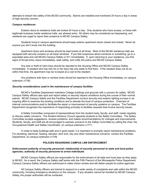attempts to breach the safety of the MCAD community. Alarms are installed and monitored 24 hours a day in areas of high security concern.

#### *Campus residences*

Exterior doors to residence halls are locked 24 hours a day. Only students who have access, or those with legitimate business inside residence halls, are allowed entry. All others may be considered as trespassing, and residents are urged to report their presence to MCAD Campus Safety.

Students living in campus apartments should keep exterior apartment doors closed and locked. Never let anyone you don't know into the building.

Apartment doors and windows should be kept locked at all times. Most of the MCAD residence halls are equipped with security screens on all lower windows. If you feel suspicious about someone or something, go to a populated area and call MCAD Campus Safety or 911 immediately. If, upon returning to your residence, you find signs of forced entry, leave immediately, seek safety, and notify the police and MCAD Campus Safety.

Any loss or theft of room keys should be reported to the Housing Office and MCAD Campus Safety immediately. A resident who has lost his or her keys has one week to find them. If the resident does not do so within that time, the apartment may be re-keyed at a cost to the resident.

Any problems with door or window locks should be reported to the Housing Office immediately, on campus extension x1780.

#### *Security considerations used in the maintenance of campus facilities*

MCAD's Facilities Department maintains College buildings and grounds with a concern for safety. MCAD Campus Safety officers also spot and report safety or security hazard conditions during the course of their normal patrols. MCAD Campus Safety and the Facilities Department conduct security and exterior lighting surveys in an ongoing effort to examine the existing conditions and to elevate the level of campus protection. Channels of internal communications exist to facilitate the repair or improvement of security systems on campus. The Facilities Department recognizes the importance of responding promptly to facilities requests that involve security issues.

A Safety Committee composed of representatives from the student body, faculty, and staff, meets regularly to discuss safety concerns. The Student Advisory Council appoints students to the Safety Committee. The Safety Committee accepts suggestions, reviews problems, and makes recommendations for changes and improvements. Students, faculty, and staff are all encouraged to express concerns to the Safety Committee by calling the chair, the Occupational Health and Safety Coordinator, on campus extension x1771.

In order to keep buildings safe and in good repair, it is important to promptly report maintenance problems. For plumbing, electrical, heating, elevator, door lock, key and other maintenance concerns, contact the Facilities Department, on campus extension x1749.

#### **POLICIES REGARDING CAMPUS LAW ENFORCEMENT**

#### *Enforcement authority of security personnel; relationship of security personnel to state and local police agencies; authority of security personnel to arrest individuals*

MCAD Campus Safety officers are responsible for the enforcement of all state and local laws as they apply to MCAD. As a result, the Campus Safety staff works with the Fifth Precinct of the Minneapolis Police Department. Campus Campus Safety officers are authorized to make citizen arrests and will detain people for police agencies.

All Campus Safety officers are trained to respond to a wide variety of complaints and calls within the MCAD community, including emergency situations on the campus. If any situation cannot be handled by MCAD Campus Safety, the proper authorities will be contacted.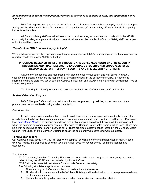#### *Encouragement of accurate and prompt reporting of all crimes to campus security and appropriate police agencies*

MCAD strongly encourages victims and witnesses of all crimes to report them promptly to both the Campus Safety and the Minneapolis Police Departments. If the parties wish, Campus Safety officers will assist in reporting incidents to the police.

All Campus Safety staff are trained to respond to a wide variety of complaints and calls within the MCAD community, including emergency situations. If any situation cannot be handled by Campus Safety staff, the proper authorities will be contacted.

#### *The role of the MCAD counseling psychologist*

While all discussions with the counseling psychologist are confidential, MCAD encourages any victims/witnesses to report crimes to the proper MCAD authorities.

#### **PROGRAMS DESIGNED TO INFORM STUDENTS AND EMPLOYEES ABOUT CAMPUS SECURITY PROCEDURES AND PRACTICES AND TO ENCOURAGE STUDENTS AND EMPLOYEES TO BE RESPONSIBLE FOR THEIR OWN SECURITY AND THE SECURITY OF OTHERS.**

A number of procedures and resources are in place to ensure your safety and well being. However, security and personal safety are the responsibility of each individual in the college community. By becoming informed and being alert, you assist both the Campus Safety staff and MCAD in maintaining an environment free of fear of being victimized.

The following is a list of programs and resources available to MCAD students, staff, and faculty:

#### *Student Orientation Program*

MCAD Campus Safety staff provide information on campus security policies, procedures, and crime prevention on an annual basis during student orientation.

#### *Escort service*

Escorts are available to all enrolled students, staff, faculty and their guests; and should only be used for rides between the MCAD Main campus and a person's residence, parked vehicle, or bus stop/HourCar. Please see the Escort [Range](http://intranet.mcad.edu/sites/default/files/docs/20160621-Escort_Range_Map.pdf) Map for the specific boundaries within which escorts are offered. Escorts will be made on foot when the escort is on campus or near campus, otherwise the Campus Safety patrol vehicle will be used. There may be a wait period due to other pending service calls. There are also courtesy phones located in the 3D shop, Media Center, Print Shop, and the Morrison Building to assist the community with contacting Campus Safety.

#### **To request an escort:**

Call Campus Safety at 612-874-3801 (or dial "0" on campus) or walk up to the Information desk in Main. Please give your name, (be prepared to show an I.D. if the Officer does not recognize you) beginning location and destination.

#### *Taxi Service*

MCAD students, including Continuing Education students and summer program students, may receive taxi rides utilizing the MCAD account provided by Student Affairs..

MCAD students can obtain assistance for a taxi ride from campus safety.

The following stipulations apply for account use.

- 1. Rides are only valid after dark unless for medical transport reasons.
- 2. All rides should commence at the MCAD Main Building and the destination must be a private residence i.e. the students home.
- 3. The number of rides paid on account a student can receive each semester is limited.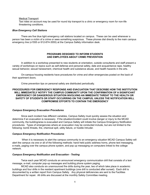#### Medical Transport:

Taxi rides on account may be used for round trip transport to a clinic or emergency room for non-life threatening conditions.

#### *Blue Emergency Call Stations*

There are five blue light emergency call stations located on campus. These can be used whenever a person has been a victim of a crime or sees something suspicious. These phones dial directly to the main campus emergency line (x1555 or 612-874-3555) at the Campus Safety information desk.

#### **PROGRAMS DESIGNED TO INFORM STUDENTS AND EMPLOYEES ABOUT CRIME PREVENTION**

In addition to a workshop presented to new students at orientation, outside consultants and staff present a variety of workshops on topics such as self-defense and personal safety, date and acquaintance rape, healthy sexual behavior, sexual harassment, chemical health and substance abuse, and health hazards in the arts.

On-campus housing residents have procedures for crime and other emergencies posted on the back of their apartment doors.

Crime prevention tips on personal safety are distributed periodically.

#### **PROCEDURES FOR EMERGENCY RESPONSE AND EVACUATION THAT DESCRIBE HOW THE INSTITUTION WILL IMMEDIATELY NOTIFY THE CAMPUS COMMUNITY UPON THE CONFIRMATION OF A SIGNIFICANT EMERGENCY OR DANGEROUS SITUATION INVOLVING AN IMMEDIATE THREAT TO THE HEALTH OR SAFETY OF STUDENTS OR STAFF OCCURRING ON THE CAMPUS, UNLESS THE NOTIFICATION WILL COMPROMISE EFFORTS TO CONTAIN THE EMERGENCY**

#### *Campus Emergency Evacuation Procedures*

Since each incident has different variables, Campus Safety must quickly assess the situation and determine if an evacuation is necessary. If the situation/incident could involve danger or injury to the MCAD community, the building/area is evacuated and Campus Safety will initiate the Campus Emergency Notification procedures. Types of emergencies where an evacuation may be conducted include, but are not limited to the following: bomb threats, fire, chemical spill, utility failure, or hostile Intruder.

#### *Campus Emergency Notification Procedures*

When it is necessary to alert the campus community to an emergency situation MCAD Campus Safety will alert the campus via one or all of the following methods: hand held public address horns, phone text messaging, e-mails, paging over the campus phone system, and pop up messaging on computers linked to the college network.

#### *Campus Emergency Notification and Evacuation - Testing*

Twice each year MCAD conducts an announced emergency communication drill that consists of a text message, e-mail, computer pop-up messages and building phone system paging.

MCAD also conducts six unannounced fire drills during the year, two of which take place in academic buildings and four drills in the resident apartment buildings (one drill is conducted after sunset). Each drill is documented by a written report from Campus Safety. Any physical deficiencies are sent to the Facilities Department for repair. All drills are discussed at the monthly Safety Committee meeting.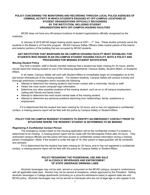#### **POLICY CONCERNING THE MONITORING AND RECORDING THROUGH LOCAL POLICE AGENCIES OF CRIMINAL ACTIVITY IN WHICH STUDENTS ENGAGED AT OFF-CAMPUS LOCATIONS OF STUDENT ORGANIZATIONS OFFICIALLY RECOGNIZED BY THE INSTITUTION, INCLUDING STUDENT ORGANIZATIONS WITH OFF-CAMPUS HOUSING FACILITIES**

MCAD does not have any off-campus locations of student organizations officially recognized by the institution.

In January of 2016 MCAD began leasing studio space at  $2201 - 1<sup>st</sup>$  Ave. These studios primarily serve the students in the Master's of Fine Arts program. MCAD Campus Safety Officers make routine patrols of the interior and exterior portions of the building that are occupied by MCAD students.

#### **ANY INSTITUTION THAT MAINTAINS AN ON CAMPUS HOUSING FACILITY MUST ESTABLISH, FOR STUDENTS WHO RESIDE IN AN ON-CAMPUS STUDENT HOUSING FACILITY, BOTH A POLICY AND PROCEDURES FOR MISSING STUDENT NOTIFICATION**

#### *Missing Student Policy*

Any time a student, staff or faculty member believes that a student has been missing for 24 hours, she/he should report the missing student to one of the following departments: Campus Safety, Student Affairs, or Academic Affairs.

In all cases, Campus Safety will work with Student Affairs to immediately begin an investigation as to the last known whereabouts of the missing student. For resident students, Campus Safety will conduct a timely and thorough preliminary investigation which includes the following:

- Attempt to determine the missing student's last known contact with a roommate, faculty or staff.
- Obtain the most recent computer login information.
- Determine any other possible locations of the missing student, such as on or off campus employment, visiting with friends and family travel.
- Attempt to determine the most recent mental state of the missing student.
- Attempt to determine any personal problems stemming from relationships, family, academics or employment.

If it is determined that the student has been missing for 24 hours, and or has not registered a confidential contact, a missing persons report will be filed with the police by Campus Safety or Student Affairs.

#### **POLICY FOR ON CAMPUS RESIDENT STUDENTS TO IDENTIFY AN EMERGENCY CONTACT PRIOR TO SITUATIONS WHERE THE RESIDENT STUDENT IS DETERMINED TO BE MISSING**

#### *Registering A Confidential Contact Person*

The emergency contact listed on the Housing application will be the confidential contact if a student is determined to be missing. A missing person report will be made with the Minneapolis Police after 24 hours. Only authorized campus officials and the police will have access to confidential contact information during a missing person investigation. (Note: If the student is under the age of 18, their parent or legal guardian will be contacted and advised).

If it is determined that the student has been missing for 24 hours, and or has not registered a confidential contact, a missing persons report will be filed with the police by Campus Safety or Student Affairs.

#### **POLICY REGARDING THE POSSESSION, USE AND SALE OF ALCOHOLIC BEVERAGES AND ENFORCEMENT OF STATE UNDERAGE DRINKING LAWS**

Alcoholic beverages may not be sold, served or consumed on the MCAD campus, except in conformance with all applicable state laws. Alcohol may not be served at receptions, unless approved by the President. Selling alcoholic beverages in College apartments (including on a price-for-admissions basis) is against state law and MCAD policy. Alcoholic beverages may not be served to individuals who are not of legal age or who appear to be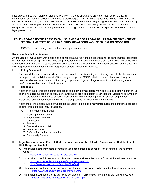intoxicated. Since the majority of students who live in College apartments are not of legal drinking age, all consumption of alcohol in College apartments is discouraged. If an individual appears to be intoxicated while on campus, Campus Safety will be notified immediately. Rules and sanctions regarding alcohol in on-campus housing are listed in the Housing Handbook. Students who violate MCAD alcohol policy will be subject to appropriate disciplinary action, up to and including eviction from College housing, suspension or expulsion from MCAD, and/or legal prosecution.

#### **POLICY REGARDING THE POSSESSION, USE, AND SALE OF ILLEGAL DRUGS AND ENFORCEMENT OF FEDERAL AND STATE DRUG LAWS; DRUG AND ALCOHOL-ABUSE EDUCATION PROGRAMS**

MCAD's policy on drugs and alcohol on campus is as follows:

#### **Drugs and Alcohol on Campus**

An individual's involvement with drugs and alcohol can adversely affect academic and job performance, jeopardize an individual's well-being and undermine the professional and academic structure of MCAD. The goal of MCAD is to establish and maintain a creative environment free from the effects of drug and alcohol abuse in compliance with the Drug-Free Workplace Act and the Drug-Free Schools and Communities Act.

#### **I. Policy Statement:**

The unlawful possession, use, distribution, manufacture or dispensing of illicit drugs and alcohol by students or employees is prohibited on MCAD property or as part of MCAD activities, except that alcohol may be possessed or consumed on MCAD property by persons 21 years of age or older in their dormitory rooms and/or approved campus catered events.

#### **II. Sanctions:**

Violation of this prohibition against illicit drugs and alcohol by a student may lead to a disciplinary sanction, up to and including suspension or expulsion. Employees are also subject to sanctions for violations occurring on MCAD property or the work site or during work time up to and including termination from employment. Referral for prosecution under criminal law is also possible for students and employees.

Violations of the Student Code of Conduct are subject to the disciplinary procedures and sanctions applicable to other types of disciplinary infractions.

- A. Sanctions may include:
	- 1. Warning and admonition
	- 2. Required compliance
	- 3. Confiscation
	- 4. Probation
	- 5. Suspension or expulsion
	- 6. Interim suspension
	- 7. Referral for criminal prosecution
	- 8. Community Service

#### **III. Legal Sanctions Under Federal, State, or Local Laws for the Unlawful Possession or Distribution of Illicit Drugs and Alcohol**

- A. Information about Minnesota controlled substance crimes and penalties can be found at the following website:
	- 1. <http://www.revisor.leg.state.mn.us/stats/152>
- B. Information about Minnesota alcohol-related crimes and penalties can be found at the following websites: 1. <http://www.house.leg.state.mn.us/hrd/pubs/dwiover.pdf>
	- 2. <https://www.revisor.mn.gov/statutes/?id=340A>
- C. Information about federal drug trafficking penalties for most drugs can be found at the following website: 1. <http://www.justice.gov/dea/druginfo/ftp3.shtml>
- D. Information about federal drug trafficking penalties for marijuana can be found at the following website: 1. [http://www.justice.gov/dea/druginfo/ftp\\_chart2.pdf](http://www.justice.gov/dea/druginfo/ftp_chart2.pdf)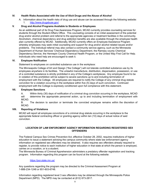#### **IV. Health Risks Associated with the Use of Illicit Drugs and the Abuse of Alcohol**

A. Information about the health risks of drug use and abuse can be accessed through the following website: 1. <http://www.drugabuse.gov/>

#### **V. Drug and Alcohol Programs Available to Students or Employees**

As an additional part of its Drug Free Awareness Program, MCAD currently provides counseling services for students through the Student Affairs Office. This counseling consists of an initial assessment of the potential drug and/or alcohol problem and referral to the appropriate agencies or treatment facilities in the community. Alcoholism, chemical dependency and drug addiction benefits are also available through the employee health plan currently offered by MCAD. Additionally, MCAD currently offers an Employee Assistance Program whereby employees may seek initial counseling and support for drug and/or alcohol related issues and/or problems. The individual referral may also contact a community service agency, such as the Minnesota Department of Human Services' Chemical Dependency Department, the Ramsey county Chemical Dependency Service, the Hennepin County Chemical Health Program, or the United Way First Call for Help. Individuals who need help are encouraged to seek it.

#### **VI. Employee Notification**

Statement to employees on controlled substance use in the workplace:

The Minneapolis College of Art and Design ("the College") will not tolerate controlled substance use by its employees anywhere in its facilities. The unlawful manufacture, distribution, dispensation, possession, or use of a controlled substance is strictly prohibited in any of the College's workplaces. Any employee found to be in violation of this prohibition will be subject to severe sanctions up to and including termination of employment with the College. All employees are required to notify the College of any criminal drug statute conviction for a violation occurring in the workplace within five (5) days of such conviction. Continued employment with the College is expressly conditioned upon full compliance with this statement.

#### **VII. Employee Sanctions**

A. Within thirty (30) days of notification of a criminal drug conviction occurring in the workplace, MCAD will determine the appropriate personnel action, up to and including termination of employment with MCAD.

B. The decision to sanction or terminate the convicted employee remains within the discretion of MCAD.

#### **VIII. Reporting of Violations**

MCAD will report all employee convictions of a criminal drug statute occurring in the workplace to the appropriate federal contracting officer or granting agency within ten (10) days of actual notice of said conviction.

#### **LOCATION OF LAW ENFORCMENT AGENCY INFORMATION REGARDING REGISTERED SEX OFFENDERS**

The Federal Campus Sex Crimes Prevention Act, effective October 28, 2002, requires institutions of higher education to issue a statement advising the campus community where state law enforcement agency information on registered sex offenders may be obtained. It also requires sex offenders already required to register, to provide notice to each institution of higher education in that state at which the person is employed, carries on a vocation, or is a student.

The Minnesota Bureau of Criminal Apprehension administers a predatory offender registration and tracking program. Information regarding this program can be found at the following website:

#### <https://por.state.mn.us/>

Any questions regarding the program may be directed to the Criminal Assessment Program at 1-888-234-1248 or 651-603-6748.

Information regarding registered level 3 sex offenders may be obtained through the Minneapolis Police Department (MPD). The MPD may be contacted at (612) 673-2817.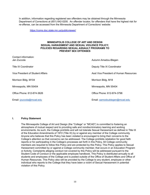In addition, information regarding registered sex offenders may be obtained through the Minnesota Department of Corrections at (651) 642-0200. An offender locator, for offenders that have the highest risk for re-offense, can be accessed from the Minnesota Department of Corrections' website:

<https://coms.doc.state.mn.us/publicviewer/>

#### **MINNEAPOLIS COLLEGE OF ART AND DESIGN SEXUAL HARASSMENT AND SEXUAL VIOLENCE POLICY; POLICIES REGARDING SEXUAL ASSAULT PROGRAMS TO PREVENT SEX OFFENSES**

| Contact information:<br>Jen Zuccola | Autumn Amadou-Blegen                   |  |  |  |  |
|-------------------------------------|----------------------------------------|--|--|--|--|
| Title IX Coordinator                | Deputy Title IX Coordinator            |  |  |  |  |
| Vice President of Student Affairs   | Asst Vice President of Human Resources |  |  |  |  |
| Morrison Bldg, M104                 | Morrison Bldg, M18                     |  |  |  |  |
| Minneapolis, MN 55404               | Minneapolis, MN 55404                  |  |  |  |  |
| Office Phone: 612-874-3626          | Office Phone: 612-874-3798             |  |  |  |  |
| Email: <i>jzuccola@mcad.edu</i>     | Email: aamodoublegen@mcad.edu          |  |  |  |  |

#### **I. Policy Statement**

The Minneapolis College of Art and Design (the "College" or "MCAD") is committed to fostering an atmosphere of mutual respect and to providing safe and nondiscriminatory learning and working environments. As such, the College prohibits and will not tolerate Sexual Harassment as defined in Title IX of the Education Amendments of 1972 (Title IX) by or against any member of the College community. Anyone who believes that this Policy has been violated is encouraged to bring their concerns to the College's attention so that concerns can be addressed. The College prohibits retaliation for good faith reports or for participating in the College's processes set forth in this Policy. All College community members are required to follow this Policy and are protected by this Policy. This Policy applies to Sexual Harassment committed by or against a College community member, that occurs in an Education Program or Activity. Complaints alleging conduct not covered by this Policy will be addressed pursuant to the Student Code of Conduct or the applicable employee handbook. This Policy is distributed annually to all students and employees of the College and is posted outside of the Office of Student Affairs and Office of Human Resources. This Policy also will be provided by the College to any student, employee or other individual who reports to the College that they have been a victim of Sexual Harassment in potential violation of this Policy.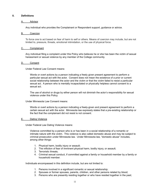#### **II. Definitions**

#### A. Advisor

Any individual who provides the Complainant or Respondent support, guidance or advice.

#### B. Coercion

To force one to act based on fear of harm to self or others. Means of coercion may include, but are not limited to, pressure, threats, emotional intimidation, or the use of physical force.

#### C. Complainant

Any individual filing a complaint under this Policy who believes he or she has been the victim of sexual harassment or sexual violence by any member of the College community.

#### D. Consent

Under Federal Law Consent means:

Words or overt actions by a person indicating a freely given present agreement to perform a particular sexual act with the actor. Consent does not mean the existence of a prior or current social relationship between the actor and the victim or that the victim failed to resist a particular sexual act. A person who is mentally incapacitated or physically helpless cannot consent to a sexual act.

The use of alcohol or drugs by either person will not diminish the actor's responsibility for sexual violence under this Policy.

#### Under Minnesota Law Consent means:

Words or overt actions by a person indicating a freely-given and present agreement to perform a certain sexual act with the actor. Minnesota law expressly states that a pre-existing relationship or the fact that the complainant did not resist is not consent.

#### E. Dating Violence

Under Federal Law Dating Violence means:

Violence committed by a person who is or has been in a social relationship of a romantic or intimate nature with the victim. This violence is also called domestic abuse and may be subject to criminal prosecution under Minnesota law. Under Minnesota law, "domestic abuse" includes, among other things:

- 1. Physical harm, bodily injury or assault;
- 2. The infliction of fear of imminent physical harm, bodily injury, or assault;
- 3. Terroristic threats;
- 4. Criminal sexual conduct, if committed against a family or household member by a family or household member.

Individuals encompassed in this definition include, but are not limited to:

- 1. Persons involved in a significant romantic or sexual relationship;
- 2. Spouses or former spouses, parents, children, and other persons related by blood;
- 3. Persons who are presently residing together or who have resided together in the past;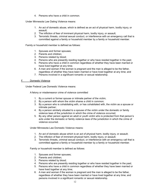4. Persons who have a child in common.

Under Minnesota Law Dating Violence means:

- 1. An act of domestic abuse, which is defined as an act of physical harm, bodily injury, or assault;
- 2. The infliction of fear of imminent physical harm, bodily injury, or assault;
- 3. Terroristic threats, criminal sexual conduct, or interference with an emergency call that is committed against a family or household member by a family or household member.

Family or household member is defined as follows:

- 1. Spouses and former spouses;
- 2. Parents and children;
- 3. Persons related by blood;
- 4. Persons who are presently residing together or who have resided together in the past;
- 5. Persons who have a child in common regardless of whether they have been married or have lived together at any time;
- 6. A man and woman if the woman is pregnant and the man is alleged to be the father, regardless of whether they have been married or have lived together at any time; and
- 7. Persons involved in a significant romantic or sexual relationship.

#### F. Domestic Violence

Under Federal Law Domestic Violence means:

A felony or misdemeanor crime of violence committed

- 1. By a current or former spouse or intimate partner of the victim;
- 2. By a person with whom the victim shares a child in common;
- 3. By a person who is cohabitating with, or has cohabitated with, the victim as a spouse or intimate partner;
- 4. By a person similarly situated to a spouse of the victim under the domestic or family violence laws of the jurisdiction in which the crime of violence occurred;
- 5. By any other person against an adult or youth victim who is protected from that person's acts under the domestic or family violence laws of the jurisdiction in which the crime of violence occurred.

Under Minnesota Law Domestic Violence means:

- 1. An act of domestic abuse which is an act of physical harm, bodily injury, or assault;
- 2. The infliction of fear of imminent physical harm, bodily injury, or assault;
- 3. Terroristic threats, criminal sexual conduct, or interference with an emergency call that is committed against a family or household member by a family or household member.

Family or household member is defined as follows:

- 1. Spouses and former spouses;
- 2. Parents and children;
- 3. Persons related by blood;
- 4. Persons who are presently residing together or who have resided together in the past;
- 5. Persons who have a child in common regardless of whether they have been married or have lived together at any time;
- 6. A man and woman if the woman is pregnant and the man is alleged to be the father, regardless of whether they have been married or have lived together at any time; and persons involved in a significant romantic or sexual relationship.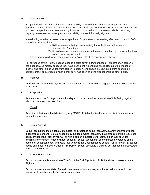#### G. Incapacitation

Incapacitation is the physical and/or mental inability to make informed, rational judgments and decisions. States of incapacitation include sleep and blackouts. Where alcohol or other substances are involved, incapacitation is determined by how the substance impacts a person's decision-making capacity, awareness of consequences, and ability to make informed judgments.

In evaluating whether a person was incapacitated for purposes of evaluating effective consent, MCAD considers two questions:

- (1) Did the person initiating sexual activity know that their partner was incapacitated? and if not,
- (2) Should a sober, reasonable person in the same situation have known that their partner was incapacitated?

If the answer to either of these questions is "yes," effective consent was absent.

For purposes of this Policy, incapacitation is a state beyond drunkenness or intoxication. A person is not incapacitated merely because they have been drinking or using drugs. Because the impact of alcohol and other drugs varies from person to person, one should be cautious before engaging in sexual contact or intercourse when either party has been drinking alcohol or using other drugs.

#### H. Member

Any College faculty member, student, staff member or other individual engaged in any College activity or program.

#### I. Respondent

Any member of the College community alleged to have committed a violation of this Policy, against whom a complaint has been filed.

J. Result

Any initial, interim and final decision by any MCAD official authorized to resolve disciplinary matters within the institution.

#### K. Sexual Assault

Sexual assault means an actual, attempted, or threatened sexual contact with another person without that person's consent. Sexual assault may include physical contact with a person's genital area, other bodily orifices (anal, oral or vaginal) or with a person's buttocks or breasts, either over or under clothing, if the contact is done without consent. Sexual assault can be committed by persons of the same sex or opposite sex, and could involve a stranger, acquaintance or date. Child (under 18) sexual abuse and incest is also included in this Policy. Sexual assault is a criminal act that can be prosecuted under Minnesota law.

#### L. Sexual Harassment

Sexual harassment is a violation of Title VII of the Civil Rights Act of 1964 and the Minnesota Human Rights Act.

Sexual harassment consists of unwelcome sexual advances, requests for sexual favors and other verbal or physical conduct of a sexual nature when: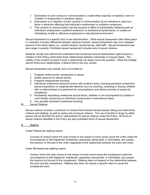- 1. Submission to such conduct or communication is made either explicitly or implicitly a term or condition of employment or academic status;
- 2. Submission to or rejection of such conduct or communication by an individual is used as a factor in decisions affecting that individual's employment or academic endeavors;
- 3. That conduct or communication has the purpose or effect of substantially interfering with an individual's employment, academic endeavors or professional performance, or creates an intimidating, hostile or offensive employment or educational environment.

Sexual harassment is a specific form of sex discrimination. While sexual harassment often takes place in a situation of power differential between persons involved, sexual harassment may occur between persons of the same status (i.e., student-student, faculty-faculty, staff-staff). Sexual harassment may also range in severity. Prohibited sexual harassment includes acts of sexual violence.

Students, faculty and staff should understand that consensual sexual relationships might become a violation of this Policy, particularly those relationships between individuals of unequal status. The validity of the consent involved in such a relationship can easily come into question. While the College cannot forbid such relationships, it deems them to be very unwise.

Sexual harassment may include, but is not limited to:

- 1. Frequent verbal insults, harassment or abuse;
- 2. Subtle pressure for sexual activity;
- 3. Frequent inappropriate touching;
- 4. Intentional unwelcome physical conduct with another's body, including persistent unwelcome sexual propositions or inappropriate behavior such as touching, caressing or kissing, whether with or without threat of punishment for noncompliance and without promise of reward for compliance;
- 5. Persistently requesting unwelcome sexual favors, whether or not accompanied by implied or overt threats concerning an individual's employment or educational status;
- 6. Any sexually motivated unwelcome touching.
- M. Sexual Violence

Sexual violence includes a continuum of conduct that includes sexual assault, dating and relationship violence and stalking, as well as aiding acts of sexual violence. The use of alcohol or drugs by either person will not diminish the actor's responsibility for sexual violence under this Policy. All forms of sexual violence identified in this Policy are also prohibited forms of sexual harassment.

#### N. Stalking

Under Federal law stalking means:

A course of conduct which the actor knows or has reason to know would cause the victim under the circumstances to feel frightened, threatened, oppressed, persecuted, or intimidated, and causes this reaction on the part of the victim regardless of the relationship between the actor and victim.

Under Minnesota law stalking means:

Conduct which the actor knows or has reason to know would cause the complainant under the circumstances to feel frightened, threatened, oppressed, persecuted, or intimidated, and causes this reaction on the part of the complainant. Stalking does not depend on the relationship between the actor and the complainant. Stalking also does not require a specific intent to cause the complainant harm.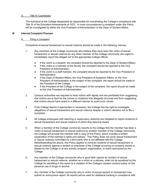#### O. Title IX Coordinator

The individual at the College designated as responsible for coordinating the College's compliance with Title IX of the Education Amendments of 1972. In most circumstances a complaint under this Policy will be investigated by either the Vice President of Administration or the Dean of Student Affairs.

#### **III. Internal Complaint Process**

#### A. Filing a Complaint

Complaints of sexual harassment or sexual violence should be made in the following manner:

- 1. Any members of the College community who believe they have been the victim of sexual harassment or sexual violence by any other member of the College community are urged to immediately report the alleged act to the appropriate College official.
	- If the victim is a student, the complaint should be reported to the Dean of Student Affairs;
	- If the victim is a member of the faculty, the complaint should be reported to the Vice President of Administration;
	- If the victim is a staff member, the complaint should be reported to the Vice President of Administration.
	- If the Dean of Student Affairs, the Vice President of Academic Affairs, or the Vice President of Administration is the subject of the complaint, the report should be made to the President of the College.
	- If the President of the College is the subject of the complaint, the report should be made to the Vice President of Administration.
- 2. Campus authorities are required to treat victims with dignity and are prohibited from suggesting that victims are at fault for the crimes or violations that allegedly occurred and from suggesting that victims should have acted in a different manner to avoid such crimes.
- 3. If the College deems it appropriate or necessary, the College has the right to investigate allegations of sexual harassment and sexual violence despite a victim's decision not to file a complaint.
- 4. All College employees with teaching or supervisory authority are obligated to report incidents of sexual harassment and sexual violence of which they become aware.
- 5. When a member of the College community reports to the College that the member has been a victim of sexual harassment or sexual violence by another member of the College community, the College will provide the member with a copy of this Policy, which includes a written explanation of the member's rights and options. This Policy does not cover sexual harassment or sexual violence committed by a third party who is not affiliated with the College. Notwithstanding the above, this Policy applies to criminal incidents of sexual harassment or sexual violence against a student or employee of the College occurring on property owned or leased by the College or at any activity, program, organization, or event sponsored by the College.
- 6. Any member of the College community who in good faith reports an incident of sexual harassment or sexual violence, whether as a victim or a witness, shall not be penalized by the College for admitting in the report to a violation of the College's student conduct policy on the personal use of drugs or alcohol.
- 7. Any member of the College community who is victim of sexual assault or harassment may submit an anonymous report. All reports will be used for statistical tracking in compliance with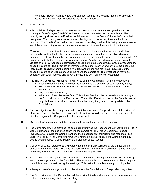the federal Student Right to Know and Campus Security Act. Reports made anonymously will not be investigated unless reported to the Dean of Students.

- B. Investigation
	- 1. All complaints of alleged sexual harassment and sexual violence are investigated under the oversight of the College's Title IX Coordinator. In most circumstances the complaint will be investigated by either the Vice President of Administration or the Dean of Student Affairs or their designees. The investigator may recommend findings and if necessary, the sanction to be imposed. The Title IX Coordinator is responsible for deciding whether this Policy has been violated and if there is a finding of sexual harassment or sexual violence, the sanction to be imposed.
	- 2. Many factors are considered in determining whether the alleged conduct violates this Policy, including but not limited to: the surrounding circumstances, the nature of the alleged sexual conduct, the relationships between the parties involved, the context in which the alleged incident(s) occurred, and whether the behavior was unwelcome. Whether a particular action or incident violates this Policy requires a determination based on the facts and circumstances surrounding the alleged incident(s). The investigation may include personal interviews with the Complainant, the individual(s) against whom the complaint is filed and others who may have knowledge of the alleged incident(s) or circumstances giving rise to the complaint. The investigation may also consist of any other methods and documents deemed pertinent by the investigator.
	- 3. The Title IX Coordinator will deliver, in writing, to both the Complainant and the Respondent:
		- Result explaining the rationale for the Result, and the sanction or other remedy, if any;
		- The procedures for the Complainant and the Respondent to appeal the Result of the investigation;
		- Any change to the Result;
		- When such Result becomes final. This written Result will be delivered simultaneously to the Complainant and the Respondent. The written Result provided to the Complainant will only disclose information about sanctions imposed, if any, which directly relate to the Complainant.
	- 4. The investigation will be prompt, fair and impartial and will use a "preponderance of the evidence" standard. The investigation will be conducted by officials who do not have a conflict of interest or bias for or against the Complainant or the Respondent.

#### C. Rights of the Complainant and the Respondent During the Investigative Process

- 1. The Complainant will be provided the same opportunity as the Respondent to meet with the Title IX Coordinator and/or the designee after filing the complaint. The Title IX Coordinator and/or investigator will advise the Complainant and the Respondent of their rights and responsibilities under this Policy. If the Complainant was the victim of a sexual assault, the Complainant may decide when to repeat a description of the incident of sexual assault.
- 2. Copies of all written statements and other written information submitted by the parties will be shared with the other party. The Title IX Coordinator (or investigator) may redact names and other identifying information if it is determined necessary or appropriate.
- 3. Both parties have the right to have an Advisor of their choice accompany them during all meetings and proceedings related to the Complaint. The Advisor's role is to observe and advise a party and the Advisor cannot speak during the meetings. This restriction applies equally to both parties.
- 4. A timely notice of meetings to both parties at which the Complainant or Respondent may attend.
- 5. The Complainant and the Respondent will be provided timely and equal access to any information that will be used during disciplinary meetings.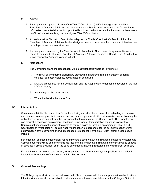#### D. Appeal

- 1. Either party can appeal a Result of the Title IX Coordinator (and/or investigator) to the Vice President of Academic Affairs on the basis that the applicable procedures were not followed, the information presented does not support the Result reached or the sanction imposed, or there was a conflict of interest involving the investigator/Title IX Coordinator.
- 2. Appeals must be filed within five (5) class days of the Title IX Coordinator's Result. If the Vice President of Academic Affairs or his/her designee deems it necessary, he or she may interview one or both parties and/or any witnesses.
- 3. If a designee is selected by the Vice President of Academic Affairs, such designee will issue a report to be used by the Vice President of Academic Affairs in reaching a Result. The Result of the Vice President of Academic Affairs is final.

#### E. Notifications

The Complainant and the Respondent will be simultaneously notified in writing of:

- 1. The result of any internal disciplinary proceeding that arises from an allegation of dating violence, domestic violence, sexual assault or stalking;
- 2. MCAD's procedures for the Complainant and the Respondent to appeal the decision of the Title IX Coordinator;
- 3. Any change to the decision; and
- 4. When the decision becomes final.

#### **IV. Interim Action**

When a complaint is filed under this Policy, both during and after the process of investigating a complaint and conducting a campus disciplinary procedure, campus personnel will provide assistance in shielding the victim from unwanted contact with the Respondent at the request of the Complainant. The Complainant can request a change in employment, academic, living, and/or transportation situations, even if the Complainant chooses not to report the crime to campus police or local law enforcement. The Title IX Coordinator or investigator will decide what interim action is appropriate for the period through the final determination of the complaint and what changes are reasonably available. Such interim actions could include:

For students: an interim suspension, reassignment to alternate housing, limitation of access to designated College housing facilities and/or campus facilities by time and location, limitation of the privilege to engage in specified College activities, or, in the case of residential housing, reassignment to a different dormitory.

For employees: an interim suspension, reassignment to a different employment position, or limitation in interactions between the Complainant and the Respondent.

#### **V. Criminal Proceedings**

The College urges all victims of sexual violence to file a complaint with the appropriate criminal authorities. If the individual elects to or is unable to make such a report, a representative from the College's Office of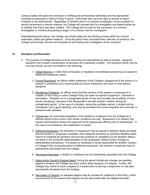Campus Safety will assist the individual in notifying law enforcement authorities and the appropriate individual as described in Section III(A)(1) above. Individuals also have the right to decline to report incidents to law enforcement. Regardless of whether there is a criminal investigation of the complaint of sexual harassment or sexual violence, the College will proceed with its investigation and determination as to whether this Policy has been violated. The College will not wait for the conclusion of a criminal investigation or criminal proceeding to begin or to continue with its investigation.

Notwithstanding the above, the College may briefly delay any fact-finding process while the criminal authorities collect and gather evidence. Once the police have concluded their collection of evidence, the College will promptly resume and complete its fact-finding and investigation of the complaint.

#### **VI. Discipline and Remedies**

- A. The purpose of College discipline is to be corrective and educational as well as punitive. Assigned discipline may include a combination of sanctions for a particular incident. The sanctions which may be incurred include, but are not limited to, the following:
	- 1. Verbal Warning: a notice that continuation or repetition of prohibited conduct may be cause for additional disciplinary action.
	- 2. Formal Reprimand: an official written statement of the College's disapproval of the actions of a student or employee and a warning that any future violation(s) will result in more serious discipline.
	- 3. Disciplinary Probation: an official notice that the conduct of the student or employee is in violation of this Policy or other College Policy but does not warrant suspension, dismissal or termination. Probation is for a designated period of time and includes the possibility of more severe disciplinary sanctions if the Respondent commits another violation during the probationary period. In the case of a student, during the probation period, a student will be considered "not in good standing" and may be excluded from some programs and curricular or extracurricular activities.
	- 4. Suspension: an involuntary separation of the student or employee from the College for a definite period of time and/or until certain conditions are met. Suspension of a student may require administrative review and approval by the appropriate officials prior to readmission. In the case of an employee, the suspension is unpaid.
	- 5. Deferred Suspension: the discipline of suspension may be placed in deferred status provided that the student or employee completes other assigned sanctions by specified deadline dates. Failure to complete all sanctions and provide evidence of completion by the deadline date(s) will result in the automatic implementation of the suspension without further charges or administrative procedures. If a student or employee is found responsible for another violation of College Policy during the period of deferred suspension, the student or employee may be permanently dismissed from the College.
	- 6. Permanent Dismissal: a student or employee can be involuntarily separated from the College.
	- 7. Delay and/or Denial of Degree Award: during the period disciplinary charges are pending against a student, the College may deny and/or delay issuance of a degree. Further, the College may refuse to issue a degree to a student who is serving a suspension or has been permanently dismissed from the College.
	- 8. Revocation of Degree: an awarded degree may be revoked for violations of this Policy, which occurred prior to the award of the degree but are discovered after the degree has been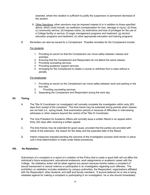awarded, where the violation is sufficient to justify the suspension or permanent dismissal of the student.

- 9. Other Sanctions: other sanctions may be imposed instead of or in addition to those specified above, which could include: (a) restitution (compensation for loss, damage or injury); (b) fines; (c) community service; (d) trespass notice; (e) restrictions and loss of privileges for the use of a College facility or service; (f) anger management programs and treatment; (g) alcohol education programs and treatment; (h) other appropriate education and training programs.
- B. Remedies can also be issued for a Complainant. Possible remedies for the Complainant include:

#### For students:

- 1. Providing an escort so that the Complainant can move safely between classes and activities.
- 2. Ensuring that the Complainant and Respondent do not attend the same classes.
- 3. Providing counseling services.
- 4. Providing academic support services.
- 5. Arranging for the Complainant to retake a course or withdraw from a class without a penalty.

#### For employees:

- 1. Providing an escort so the Complainant can move safely between work and parking or the bus stop.
- 2. Providing counseling services.
- 3. Separating the Complainant and Respondent during the work day.

#### **VII. Timing**

- A. The Title IX Coordinator (or investigator) will normally complete the investigation within sixty (60) days from receipt of the complaint. This time frame may be extended during periods when classes are not held (i.e., spring break, final examination period) or because of difficulties in interviewing witnesses or other reasons beyond the control of the Title IX Coordinator.
- B. The Vice President for Academic Affairs will normally issue a written Result in an appeal within thirty (30) days after receiving a written appeal.
- C. The time frames may be extended for good cause, provided that the parties are provided with notice of the extension, the reason for the delay and the expected date of the Result.
- D. Interim measures imposed pending the outcome of the investigation process shall remain in place until a final determination is made under these procedures.

#### **VIII. No Retaliation**

Submission of a complaint or a report of a violation of this Policy that is made in good faith will not affect the individual's future employment, educational endeavors, work assignments or academic career with the College. No retaliatory action will be taken against any person because he/she makes a complaint of sexual harassment or sexual violence or participates in an investigation regarding such offenses. The prohibition on retaliation includes retaliation by campus authorities, the Respondent, organizations affiliated with the Respondent, other students, and staff and faculty members. If anyone believes he or she is being retaliated against for making a complaint or participating in an investigation, he or she should immediately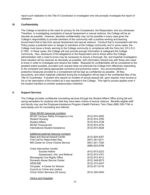report such retaliation to the Title IX Coordinator or investigator who will promptly investigate the report of retaliation.

#### **IX. Confidentiality**

The College is sensitive to the need for privacy for the Complainant, the Respondent, and any witnesses. Therefore, in investigating complaints of sexual harassment or sexual violence, the College will be as discrete as possible. However, absolute confidentiality may not be possible in every case given the College's responsibility to provide members of the community with a positive working and learning environment that is free from sexual harassment and sexual violence. Conduct that is inconsistent with this Policy poses a potential harm or danger to members of the College community, and in some cases, the College must issue a timely warning to the College community in compliance with the Clery Act, 20 U.S.C. § 1092. In these cases, the College will only provide enough information to safeguard the College community. Also, disclosure of the allegations to the Respondent and to those within the College administration with a need to know may be necessary to ensure a thorough, fair, and impartial investigation. Each situation will be resolved as discreetly as possible, with information shared only with those who need to know in order to investigate and resolve the matter. Requests for confidentiality will be considered to the greatest extent possible, provided such request does not preclude the College from effectively responding to the complaint and taking appropriate corrective and preventive action. Any accommodations or protective measures provided to a Complainant will be kept as confidential as possible. All files, documents, and other materials collected during the investigation will be kept in the confidential files of the Title IX Coordinator. A student who reports an incident of sexual assault will, upon request, have access to his or her description of the incident as it was reported to the College. This right to access applies even if the student transfers to another postsecondary institution.

#### **X. Support Services**

The College provides confidential counseling services through the Student Affairs Office during fall and spring semesters for students who feel they have been victims of sexual violence. Benefits eligible staff and faculty may use the Employee Assistance Program (Health Partners: Twin Cities (866) 326-7194 or www.hpeap.com for counseling and referral).

| Other MCAD resources numbers:              |                |
|--------------------------------------------|----------------|
| <b>MCAD Campus Safety Emergency Line</b>   | (612) 874-3555 |
| <b>Student Housing</b>                     | (612) 874-3780 |
| <b>Student Affairs</b>                     | (612) 874-3738 |
| <b>MCAD Financial Aid</b>                  | (612) 874-3733 |
| International Student Assistance           | (612) 874-3628 |
| Additional external resource numbers:      |                |
| Rape and Sexual Assault Center             | (612) 825-4357 |
| First Call for Help/United Way             | (651) 291-0211 |
| <b>MN Center for Crime Victims Service</b> | (651) 201-7300 |
|                                            | (888) 622-8799 |
| Crisis Intervention Center:                |                |
| Suicide Hotline                            | (612) 873-2222 |
| Assessment, Info, and Referral             | (612) 873-3161 |
| Minneapolis Civil Rights Office            | (612) 673-3012 |
| Domestic Abuse Service Center              | (612) 348-5073 |
| <b>AIDSLINE</b>                            | (612) 373-2437 |
| Chrysalis: A Center for Women              | (612) 871-0118 |
| Council on Crime and Justice:              |                |
| Crime Victim Services (24 hours)           | (612) 340-5400 |
|                                            |                |

Clinics and Hospitals: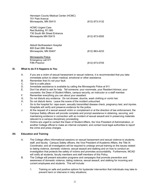| Hennepin County Medical Center (HCMC)<br>701 Park Avenue<br>Minneapolis, MN 55415                        | (612) 873-3132 |
|----------------------------------------------------------------------------------------------------------|----------------|
| <b>HCMC-Urgent Care</b><br>Red Building, R1.060<br>730 South 8th Street Entrance<br>Minneapolis MN 55415 | (612) 873-5555 |
| Abbott Northwestern Hospital<br>800 Fast 28th Street<br>Minneapolis, MN 55407                            | (612) 863-4233 |
| Minneapolis Police<br>Emergency call 911<br><b>Fifth Precinct</b>                                        | (612) 673-5705 |

#### **XI. What to do if it Happens to You**

- A. If you are a victim of sexual harassment or sexual violence, it is recommended that you take immediate action to obtain medical, emotional or other assistance.
- B. Remember that it's not your fault.
- C. Get to a safe place.
- D. Immediate assistance is available by calling the Minneapolis Police at 911.
- E. Don't be afraid to ask for help. Tell someone: your roommate, your Resident Advisor, your counselor, the Dean of Student Affairs, campus security, an instructor or a staff member.
- F. Remember everything you can about your assailant.
- G. Do not disturb any evidence. Do not shower, douche, wash clothing or comb hair.
- H. Do not disturb items. Leave the scene of the incident untouched.
- I. Go to the hospital for: rape exam, sexually transmitted disease check, pregnancy test, and injuries. Hospitals will verify and preserve evidence for the police.
- J. At the request of a sexual assault victim or complainant or at the direction of law enforcement, the Campus Safety officers will provide complete and prompt assistance in obtaining, securing, and maintaining evidence in connection with an incident of sexual assault and in preserving materials relevant to a campus disciplinary proceeding.
- K. Victims are urged to contact the Dean of Student Affairs, the Vice President of Administration, or another College official to make an internal complaint, and contact local legal authorities to report the crime and press charges.

#### **XII. Education and Training**

- A. The College offers informational sessions on sexual harassment and sexual violence to students, staff, and faculty. Campus Safety officers, the Vice President of Academic Affairs, the Title IX Coordinator, and all investigators will be required to undergo annual training on the issues related to dating violence, domestic violence, sexual assault and stalking and on how to conduct an investigation that protects the safety of victims and promotes accountability. Furthermore, MCAD will notify all students, faculty members and staff members of this Policy.
- B. The College will present education programs and campaigns that promote prevention and awareness of domestic violence, dating violence, sexual assault, and stalking for incoming and current employees and students. This will include:
	- 1. Training on safe and positive options for bystander intervention that individuals may take to prevent harm or intervene in risky situations;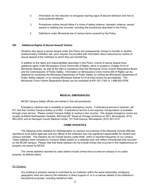- 2. Information on risk reduction to recognize warning signs of abusive behavior and how to avoid potential attacks;
- 3. Procedures victims should follow if a crime of dating violence, domestic violence, sexual assault or stalking has occurred, including the procedures described in this Policy;
- 4. Definitions under Minnesota law of various terms covered by this Policy.

#### **XIII. Additional Rights of Sexual Assault Victims**

Students who report a sexual assault under this Policy and subsequently choose to transfer to another postsecondary institution will, upon request, be provided with information about resources for victims of sexual assault at the institution to which they are transferring.

In addition to the rights and responsibilities described in this Policy, victims of sexual assault have additional rights under Minnesota's Crime Victims Bill of Rights, which is located in Chapter 611A of Minnesota Statutes, as well as the right to assistance from the Minnesota Crime Victims Reparations Board and the Commissioner of Public Safety. Information on Minnesota's Crime Victims Bill of Rights can be obtained by contacting the Minnesota Department of Public Safety, by visiting the Minnesota Department of Public Safety website, or by viewing Minnesota Statute 611A at www.revisor.mn.gov/statutes. The Minnesota Crime Victims Reparations Board can be contacted at 651-201-7300 or 1-888-622-8799.

#### **MEDICAL EMERGENCIES**

MCAD Campus Safety officers are trained in first aid procedures.

Emergency medical care is available at nearby emergency rooms. If ambulance service is required, call 911 and then contact Campus Safety at x1555. If ambulance service is not required, transportation is available through a taxi service. Please contact Campus Safety to receive a taxi voucher. The closest emergency rooms are located at Abbott Northwestern Hospital, 800 East 28<sup>th</sup> Street at Chicago (entrance on 28<sup>th</sup>), Minneapolis, (612) 863-4233, and at Hennepin County Medical Center, 701 Park Avenue, Minneapolis, (612) 347-3131.

#### **CRIME STATISTICS**

The following crime statistics for 2020represent on-campus occurrences of the following criminal offenses reported to local police agencies and any official of the institution who has significant responsibility for student and campus activities. The statistics do not include larceny (petty theft), which is reported frequently on our campus. These statistics were compiled by Campus Safety based on a calendar year and reflect crime/arrests that occurred on the MCAD campus. Please note that these statistics do not include crimes that occurred in the neighborhood on property not owned by MCAD.

The crimes statistics reported for years below include crimes that occurred on-campus or on public property, as defined below:

#### On Campus:

Any building or property owned or controlled by an institution within the same reasonably contiguous geographic area and used by the institution in direct support of, or in a manner related to the institution's educational purposes, including residence halls;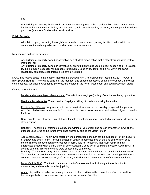and

Any building or property that is within or reasonably contiguous to the area identified above, that is owned by the institution and controlled by another person, is frequently used by students, and supports institutional purposes (such as a food or other retail vendor).

#### Public Property:

All public property, including thoroughfares, streets, sidewalks, and parking facilities, that is within the campus or immediately adjacent to and accessible from campus.

#### Non-campus building or property:

Any building or property owned or controlled by a student organization that is officially recognized by the institution; or;

Any building or property owned or controlled by an institution that is used in direct support of, or in relation to, the institution's educational purposes, is frequently used by students, and is not within the same reasonably contiguous geographic area of the institution.

MCAD has leased space in the location that was the previous First Christian Church located at 2201-1<sup>st</sup> Ave. S.-**MFA (FCC) Studios**. The studios consist of the first floor and basement sections south of the Chapel. Individual studio spaces, assigned by Academic Services, are located in the north, west, south and south basement areas

Crimes reported include:

Murder and non-negligent Manslaughter: The willful (non-negligent) killing of one human being by another.

Negligent Manslaughter: The non-willful (negligent) killing of one human being by another.

Forcible Sex Offenses: Any sexual act directed against another person, forcibly or against that person's will. Reported offenses may include forcible rape, forcible sodomy, sexual assault with an object, or forcible fondling.

Non-Forcible Sex Offenses: Unlawful, non-forcible sexual intercourse. Reported offenses include incest or statutory rape.

Robbery: The taking, or attempted taking, of anything of value from one person by another, in which the offender uses force or the threat of violence and/or by putting the victim in fear.

Aggravated Assault: The unlawful attack by one person upon another, for the purpose of inflicting severe or aggravated bodily injury. This type of assault usually is accompanied by the use of a weapon or by means likely to produce death or great bodily harm. (It is not necessary that injury result from an aggravated assault when a gun, knife, or other weapon is used which could and probably would result in serious personal injury if the crime were successfully completed.

Burglary: The unlawful entry into a building or other structure with the intent to commit a felony or a theft. This includes: unlawful entry with intent to commit a larceny or felony; breaking and entering with intent to commit a larceny; housebreaking; safecracking; and all attempts to commit any of the aforementioned.

Motor Vehicle Theft: The theft or attempted theft of a motor vehicle, including automobiles, trucks, motorcycles, and mopeds. Includes joyriding.

Arson: Any willful or malicious burning or attempt to burn, with or without intent to defraud, a dwelling house, a public building, motor vehicle, or personal property of another.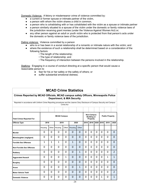Domestic Violence: A felony or misdemeanor crime of violence committed by:

- a current or former spouse or intimate partner of the victim,
- a person with whom the victim shares a child in common,
- a person who is cohabitating with or has cohabitated with the victim as a spouse or intimate partner
- a person similarly situated to a spouse of the victim under the domestic or family violence laws of the jurisdiction receiving grant monies (under the Violence Against Women Act) or;
- any other person against an adult or youth victim who is protected from that person's acts under the domestic or family violence laws of the jurisdiction.

Dating violence: Violence committed by a person

- who is or has been in a social relationship of a romantic or intimate nature with the victim; and
- where the existence of such a relationship shall be determined based on a consideration of the following factors:
	- The length of the relationship;
	- The type of relationship; and
	- The frequency of interaction between the persons involved in the relationship.

Stalking: Engaging in a course of conduct directing at a specific person that would cause a reasonable person to

- fear for his or her safety or the safety of others; or
- suffer substantial emotional distress.

## **MCAD Crime Statistics**

#### **Crimes Reported by MCAD Officials, MCAD campus safety Officers, Minneapolis Police Department, & MIA Security**

Reported in accordance with Uniform Crime Reporting procedures and the Jeanne Clery Disclosure of Campus Security and Campus Crime Act **Total Crimes Reported For: MCAD Campus Non-Campus Building or Property Public Property Offense Type 2018 2019 2020 2018 2019 2020 2018 2019 2020** Housing Other Housing Other Housing Other **Murder** 0 0 0 0 0 0 0 0 0 0 0 0 **Manslaughter (negligent)** 0 0 0 0 0 0 0 0 0 0 0 0 **Forcible Sex Offenses** 1 1 1 0 1 0 0 0 0 0 0 0 **Non-Forcible Sex Offenses** 0 0 0 0 0 0 0 0 0 0 0 0 **Robbery** 0 0 0 0 0 1 0 0 0 0 0 2 **Aggravated Assault** 0 0 0 1 0 0 0 0 0 0 1 1 **Burglary** 0 0 0 0 0 0 0 0 0 0 0 0 **Arson** 0 0 0 0 0 1 0 0 0 0 0 0 **Motor Vehicle Theft** 0 0 0 0 0 0 0 0 0 0 0 2 **Domestic Violence** 0 0 0 0 0 0 0 0 0 1 0 1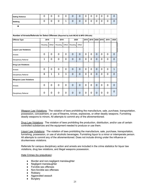| <b>Dating Violence</b>                                                                  | $\Omega$     | $\Omega$       | $\mathbf 0$ | 0     | $\Omega$       | $\Omega$    | 0              | 0    | $\Omega$    | 0 | 0    | $\overline{0}$ |
|-----------------------------------------------------------------------------------------|--------------|----------------|-------------|-------|----------------|-------------|----------------|------|-------------|---|------|----------------|
| <b>Stalking</b>                                                                         | $\Omega$     | $\overline{0}$ | $\mathbf 0$ | 1     | $\mathbf{0}$   | $\Omega$    | $\mathbf 0$    | 0    | 0           | 0 | 0    | $\overline{0}$ |
| $\bullet$                                                                               |              |                |             |       |                |             |                |      |             |   |      |                |
|                                                                                         |              |                |             |       |                |             |                |      |             |   |      |                |
| Number of Arrests/Referrals for Select Offenses (Reported by both MCAD & MPD Officials) |              |                |             |       |                |             |                |      |             |   |      |                |
| <b>Offense Type</b>                                                                     | 2018         |                | 2019        |       | 2020           |             | 2018           | 2019 | 2020 2018   |   | 2019 | 2020           |
|                                                                                         | Housing      | Other          | Housing     | Other | Housing        | Other       |                |      |             |   |      |                |
| <b>Liquor Law Violations</b>                                                            |              |                |             |       |                |             |                |      |             |   |      |                |
| Arrests                                                                                 | $\Omega$     | $\Omega$       | $\Omega$    | 0     | $\overline{0}$ | $\Omega$    | $\overline{0}$ | 0    | $\Omega$    | 0 | 0    | $\overline{0}$ |
| Disciplinary Referral                                                                   | $\mathbf{1}$ | 0              | $\mathbf 0$ | 0     | $\mathbf 0$    | 0           | 0              | 0    | 0           | 0 | 0    | $\mathbf 0$    |
| <b>Drug Law Violations</b>                                                              |              |                |             |       |                |             |                |      |             |   |      |                |
| Arrests                                                                                 | $\Omega$     | $\Omega$       | $\Omega$    | 0     | $\Omega$       | $\Omega$    | $\Omega$       | 0    | $\Omega$    | 0 | 0    | $\mathbf{1}$   |
| Disciplinary Referral                                                                   | 8            | $\mathbf{1}$   | 3           | 3     | $\overline{0}$ | $\mathbf 0$ | 0              | 0    | $\mathbf 0$ | 0 | 0    | $\mathbf 0$    |
| <b>Weapons Laws Violations</b>                                                          |              |                |             |       |                |             |                |      |             |   |      |                |
| <b>Arrests</b>                                                                          | $\Omega$     | $\Omega$       | $\Omega$    | 0     | $\Omega$       | $\Omega$    | 0              | 0    | 0           | 0 | 0    | 0              |
| <b>Disciplinary Referral</b>                                                            | 0            | 0              | $\Omega$    | 0     | $\Omega$       | $\Omega$    | 0              | 0    | 0           | 0 | 0    | $\Omega$       |

Weapon Law Violations: The violation of laws prohibiting the manufacture, sale, purchase, transportation, possession, concealment, or use of firearms, knives, explosives, or other deadly weapons. Furnishing deadly weapons to minors. All attempts to commit any of the aforementioned.

Drug Law Violations: The violation of laws prohibiting the production, distribution, and/or use of certain controlled substances and the equipment needed to produce or use them.

Liquor Law Violations: The violation of laws prohibiting the manufacture, sale, purchase, transportation, furnishing, possession, or use of alcoholic beverages. Furnishing liquor to a minor or intemperate person. All attempts to commit any of the aforementioned. Does not include driving under the influence or drunkenness violations.

Referrals for campus disciplinary action and arrests are included in the crime statistics for liquor law violations, drug law violations, and illegal weapons possession.

Hate Crimes (by prejudices):

- Murder and non-negligent manslaughter
- Negligent manslaughter
- Forcible sex offenses
- Non-forcible sex offenses
- Robbery
- Aggravated assault
- Burglary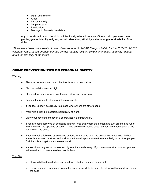- Motor vehicle theft
- Arson
- Larceny (theft)
- Simple Assault
- Intimidation
- Damage to Property (vandalism)

Any of the above in which the victim is intentionally selected because of the actual or perceived **race, gender, gender identity, religion, sexual orientation, ethnicity, national origin, or disability** of the victim.

*\*There have been no incidents of hate crimes reported to MCAD Campus Safety for the 2018-2019-2020 calendar years, based on race, gender, gender identity, religion, sexual orientation, ethnicity, national origin, or disability of the victim.*

### CRIME PREVENTION TIPS ON PERSONAL SAFETY

#### Walking

- Plan/use the safest and most direct route to your destination.
- Choose well-lit streets at night.
- Stay alert to your surroundings; look confident and purposeful.
- Become familiar with stores which are open late.
- If you feel uneasy, go directly to a place where there are other people.
- Walk with a friend, if possible, particularly at night.
- Carry your keys and money in a pocket, not in a purse/wallet.
- If you are being followed by someone in a car, keep away from the person and turn around and run or walk quickly in the opposite direction. Try to obtain the license plate number and a description of the car and call the police.
- If you are being followed by someone on foot, turn around to let the person know you see him/her. Immediately cross the street and walk or run toward a place where there are likely to be other people. Call the police or get someone else to call.
- In cases involving verbal harassment, ignore it and walk away. If you are alone at a bus stop, proceed to the next stop if there are other people there.

#### Your Car

- o Drive with the doors locked and windows rolled up as much as possible.
- o Keep your wallet, purse and valuables out of view while driving. Do not leave them next to you on the seat.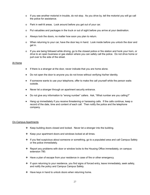- o If you see another motorist in trouble, do not stop. As you drive by, tell the motorist you will go call the police for assistance.
- o Park in well-lit areas. Look around before you get out of your car.
- o Put valuables and packages in the truck or out of sight before you arrive at your destination.
- o Always lock the doors, no matter how soon you plan to return.
- o When returning to your car, have the door key in hand. Look inside before you unlock the door and get in.
- o If you are being followed while driving, go to the closest police or fire station and honk your horn, or drive to an open business or gas station where you can safely call the police. Do not drive home or pull over to the side of the street.

#### At Home

- ♦ If there is a stranger at the door, never indicate that you are home alone.
- ♦ Do not open the door to anyone you do not know without verifying his/her identity.
- If someone wants to use your telephone, offer to make the call yourself while the person waits outside.
- ♦ Never let a stranger through an apartment security entrance.
- Do not give any information to "wrong number" callers. Ask, "What number are you calling?"
- Hang up immediately if you receive threatening or harassing calls. If the calls continue, keep a record of the date, time and content of each call. Then notify the police and the telephone company.

#### On-Campus Apartments

- ❖ Keep building doors closed and locked. Never let a stranger into the building.
- ❖ Keep your apartment doors and windows locked at all times.
- ❖ If you feel suspicious about someone or something, go to a populated area and call Campus Safety or the police immediately.
- ❖ Report any problems with door or window locks to the Housing Office immediately, on campus extension 780.
- ❖ Have a plan of escape from your residence in case of fire or other emergency.
- ❖ If upon returning to your residence, you find signs of forced entry, leave immediately, seek safety, and notify the policy and Campus Campus Safety.
- ❖ Have keys in hand to unlock doors when returning home.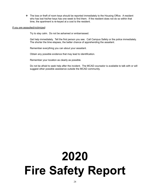❖ The loss or theft of room keys should be reported immediately to the Housing Office. A resident who has lost his/her keys has one week to find them. If the resident does not do so within that time, the apartment is re-keyed at a cost to the resident.

#### If you are assaulted/victimized:

Try to stay calm. Do not be ashamed or embarrassed.

Get help immediately. Tell the first person you see. Call Campus Safety or the police immediately. The shorter the time elapses, the better chance of apprehending the assailant.

Remember everything you can about your assailant.

Obtain any possible evidence that may lead to identification.

Remember your location as clearly as possible.

Do not be afraid to seek help after the incident. The MCAD counselor is available to talk with or will suggest other possible assistance outside the MCAD community.

## **2020 Fire Safety Report**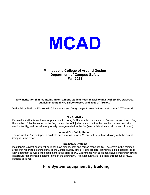# **MCAD**

### **Minneapolis College of Art and Design Department of Campus Safety Fall 2021**

#### **Any institution that maintains an on-campus student housing facility must collect fire statistics, publish an Annual Fire Safety Report, and keep a "fire log."**

In the Fall of 2009 the Minneapolis College of Art and Design began to compile fire statistics from 2007 forward.

#### **Fire Statistics**

Required statistics for each on-campus student housing facility include: the number of fires and cause of each fire; the number of deaths related to the fire; the number of injuries related the fire that resulted in treatment at a medical facility; and the value of property damage related to the fire (see statistics located at the end of report).

#### **Annual Fire Safety Report**

The Annual Fire Safety Report is available each year on October  $1<sup>st</sup>$ , and will be published along with the annual Campus Crime report.

#### **Fire Safety Systems**

Most MCAD resident apartment buildings have smoke, heat and carbon monoxide (CO) detectors in the common areas that report to a central panel at the Campus Safety office. There are local sounding smoke detectors inside each apartment as well as the equipment in the table below. Apartments with gas ranges have combination smoke detector/carbon monoxide detector units in the apartment. Fire extinguishers are located throughout all MCAD Housing buildings.

## **Fire System Equipment By Building**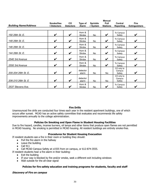|                              |                          |                               |                         |                             | <b>Manual</b>           |                                |                                     |
|------------------------------|--------------------------|-------------------------------|-------------------------|-----------------------------|-------------------------|--------------------------------|-------------------------------------|
| <b>Building Name/Address</b> | Smoke/Hea<br>t Detectors | <b>CO</b><br><b>Detectors</b> | Type of<br><b>Alarm</b> | <b>Sprinkle</b><br>r System | Pull<br><b>Stations</b> | Central<br><b>Reporting</b>    | <b>Fire</b><br><b>Extinguishers</b> |
|                              |                          |                               |                         |                             |                         |                                |                                     |
| 150 26th St. E.              | V                        | V                             | Horn &<br>Strobe        | No                          | V                       | To Campus<br>Safety            | V                                   |
| 148 26th St. E.              | V                        | V                             | Horn &<br>Strobe        | No.                         | V                       | To Campus<br>Safety            | V                                   |
| 146 26th St. E.              | V                        | V                             | Horn &<br>Strobe        | No                          | V                       | To Campus<br>Safety            | V                                   |
| 144 26th St. E.              | V                        | V                             | Horn &<br>Strobe        | No                          | V                       | To Campus<br>Safety            | V                                   |
| 2540 3rd Avenue              | V                        | V                             | Horn &<br>Strobe        | No                          | V                       | To Campus<br>Safety            | V                                   |
| 2550 3rd Avenue              | V                        | V                             | Horn &<br>Strobe        | No                          | V                       | To Campus<br>Safety            | V                                   |
| 200-204 26th St. E.          | V                        | V                             | detector<br>alarm       | No.                         | No.                     | CO only to<br>Campus<br>Safety | V                                   |
| 206-210 26th St. E           | V                        | V                             | detector<br>alarm       | No                          | No                      | CO only to<br>Campus<br>Safety | V                                   |
| 2537 Stevens Ave.            | V                        | V                             | Horn &<br>Strobe        | No                          | V                       | To Campus<br>Safety            | V                                   |

#### **Fire Drills**

Unannounced fire drills are conducted four times each year in the resident apartment buildings, one of which occurs after sunset. MCAD has an active safety committee that evaluates and recommends life safety improvements annually to the college administration.

#### **Policies On Smoking and Open Flame in Student Housing Facilities**

Due to fire hazard, candles, incense burners, oil lamps and other items that produce open flames are not permitted in MCAD housing. No smoking is permitted in MCAD housing. All resident buildings are entirely smoke-free.

#### **Procedures for Student Housing Evacuation**

- If resident students see a fire in their room or building they should:
	- Pull the fire alarm in the hallway
	- Leave the building
	- Call 911
	- Call MCAD Campus Safety at x1555 from on campus, or 612-874-3555.

If resident students hear a fire alarm in their building:

- Exit the building
- If your way is blocked by fire and/or smoke, seek a different exit including windows
- Wait outside for the all-clear signal

#### **Policies for fire safety education and training programs for students, faculty and staff**

#### **Discovery of Fire on campus**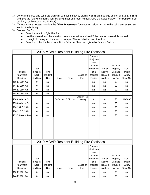- 1) Go to a safe area and call 911; then call Campus Safety by dialing X 1555 on a college phone, or 612-874-3555 and give the following information: building, floor and room number. Give the exact location (for example: Main building, southwest corner, 2<sup>nd</sup> floor).
- 2) If evacuation is necessary follow the **"Fire Evacuation"** procedures below. Activate the pull alarm as you are leaving the building.
- 3) Do's and Don'ts:
	- Do not attempt to fight the fire.
	- Use the stairwell not the elevator. Use an alternative stairwell if the nearest stairwell is blocked.
	- If caught in heavy smoke, crawl to escape. The air is better near the floor.
	- Do not re-enter the building until the "all clear" has been given by Campus Safety.

|                                           |                                              | 2018 MCAD Resident Building Fire Statistics |          |           |                                             |                                                                                       |                                          |                                                     |                                            |
|-------------------------------------------|----------------------------------------------|---------------------------------------------|----------|-----------|---------------------------------------------|---------------------------------------------------------------------------------------|------------------------------------------|-----------------------------------------------------|--------------------------------------------|
| Resident<br>Apartment<br><b>Buildings</b> | Total<br>Fires In<br>Each<br><b>Building</b> | Fire<br>Incident<br>No.                     | Date     | Time      | Cause of<br>Fire                            | Number<br>of Injuries<br>that<br>required<br>treatment<br>at a<br>Medical<br>Facility | No. of<br>Deaths<br>Related<br>to a Fire | Value of<br>Property<br>Damage<br>Caused<br>by Fire | <b>MCAD</b><br>Pubic<br>Safety<br>Case No. |
| 150 E. 26th Ave                           | $\pmb{0}$                                    | n/a                                         |          |           |                                             | n/a                                                                                   | n/a                                      | \$0                                                 | n/a                                        |
| 144 E. 26th Ave.                          | 0                                            | n/a                                         |          |           |                                             | n/a                                                                                   | n/a                                      | \$0                                                 | n/a                                        |
| 146 E. 26th Ave.                          | 0                                            | n/a                                         |          |           |                                             | n/a                                                                                   | n/a                                      | \$0                                                 | n/a                                        |
| 148 E. 26th Ave.                          | $\mathbf 0$                                  | n/a                                         |          |           |                                             |                                                                                       |                                          |                                                     |                                            |
| 2540 3rd Ave. S.                          | 1                                            | 1                                           | 04/04/18 | 8:09 p.m. | Unintentiona<br>I- cooking                  | 0                                                                                     | 0                                        | \$0                                                 | 18-0036                                    |
| 2550 3rd Ave. S.                          | 0                                            | n/a                                         |          |           |                                             | n/a                                                                                   | n/a                                      | \$0                                                 | n/a                                        |
| 200-204 E. 26th                           | $\pmb{0}$                                    | n/a                                         |          |           |                                             | n/a                                                                                   | n/a                                      | \$0                                                 | n/a                                        |
| 206-210 E. 26th                           | $\mathbf 0$                                  | n/a                                         |          |           |                                             | n/a                                                                                   | n/a                                      | \$0                                                 | n/a                                        |
| 2537 Stevens Ave                          | $\mathbf 0$                                  | n/a                                         |          |           |                                             | n/a                                                                                   | n/a                                      | \$0                                                 | n/a                                        |
|                                           |                                              |                                             |          |           |                                             |                                                                                       |                                          |                                                     |                                            |
|                                           |                                              |                                             |          |           | 2019 MCAD Resident Building Fire Statistics |                                                                                       |                                          |                                                     |                                            |
| Resident<br>Apartment<br><b>Buildings</b> | Total<br>Fires In<br>Each<br><b>Building</b> | Fire<br>Incident<br>No.                     | Date     | Time      | Cause of<br>Fire                            | Number<br>of Injuries<br>that<br>required<br>treatment<br>at a<br>Medical<br>Facility | No. of<br>Deaths<br>Related<br>to a Fire | Value of<br>Property<br>Damage<br>Caused<br>by Fire | <b>MCAD</b><br>Pubic<br>Safety<br>Case No. |
| 150 E. 26th Ave                           | $\mathbf 0$                                  | n/a                                         |          |           |                                             | n/a                                                                                   | n/a                                      | \$0                                                 | n/a                                        |
| 144 E. 26th Ave.                          | $\mathbf 0$                                  | n/a                                         |          |           |                                             | n/a                                                                                   | n/a                                      | \$0                                                 | n/a                                        |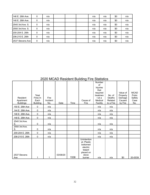| 146 E. 26th Ave.  | 0 | n/a |  | n/a | n/a | \$0 | n/a |
|-------------------|---|-----|--|-----|-----|-----|-----|
| 148 E. 26th Ave.  | 0 | n/a |  | n/a | n/a | \$0 | n/a |
| 12540 3rd Ave. S. | 0 | n/a |  | n/a | n/a | \$0 | n/a |
| 2550 3rd Ave. S.  | 0 | n/a |  | n/a | n/a | \$0 | n/a |
| 200-204 E. 26th   | 0 | n/a |  | n/a | n/a | \$0 | n/a |
| 206-210 E. 26th   | 0 | n/a |  | n/a | n/a | \$0 | n/a |
| 12537 Stevens Ave | 0 | n/a |  | n/a | n/a | \$0 | n/a |

## 2020 MCAD Resident Building Fire Statistics

| Resident<br>Apartment<br><b>Buildings</b> | Total<br>Fires In<br>Each<br><b>Building</b> | Fire<br>Incident<br>No. | Date     | Time | Cause of<br>Fire                                                                             | Number<br>of<br>Injuries<br>that<br>required<br>treatmen<br>t at a<br>Medical<br>Facility | No. of<br>Deaths<br>Related<br>to a Fire | Value of<br>Property<br>Damage<br>Caused<br>by Fire | <b>MCAD</b><br>Pubic<br>Safety<br>Case<br>No. |
|-------------------------------------------|----------------------------------------------|-------------------------|----------|------|----------------------------------------------------------------------------------------------|-------------------------------------------------------------------------------------------|------------------------------------------|-----------------------------------------------------|-----------------------------------------------|
| 150 E. 26th Ave                           | 0                                            | n/a                     |          |      |                                                                                              | n/a                                                                                       | n/a                                      |                                                     |                                               |
| 144 E. 26th Ave.                          | $\mathbf 0$                                  | n/a                     |          |      |                                                                                              | n/a                                                                                       | n/a                                      |                                                     |                                               |
| 146 E. 26th Ave.                          | $\pmb{0}$                                    | n/a                     |          |      |                                                                                              | n/a                                                                                       | n/a                                      |                                                     |                                               |
| 148 E. 26th Ave.                          | $\pmb{0}$                                    | n/a                     |          |      |                                                                                              | n/a                                                                                       | n/a                                      |                                                     |                                               |
| 2540 3rd Ave.<br>S.                       | $\pmb{0}$                                    | n/a                     |          |      |                                                                                              | n/a                                                                                       | n/a                                      |                                                     |                                               |
| 2550 3rd Ave.<br>S.                       | $\mathbf 0$                                  | n/a                     |          |      |                                                                                              | n/a                                                                                       | n/a                                      |                                                     |                                               |
| 200-204 E. 26th                           | $\pmb{0}$                                    | n/a                     |          |      |                                                                                              | n/a                                                                                       | n/a                                      |                                                     |                                               |
| 206-210 E. 26th                           | $\mathbf 0$                                  | n/a                     |          |      |                                                                                              | n/a                                                                                       | n/a                                      |                                                     |                                               |
| 2537 Stevens<br>Ave                       | 1                                            | 1                       | 03/08/20 | 1538 | Unintention<br>al- Plastic<br>bottomed<br>electric<br>teapot<br>placed on<br>stove<br>burner | n/a                                                                                       | n/a                                      | \$0                                                 | 20-0039                                       |